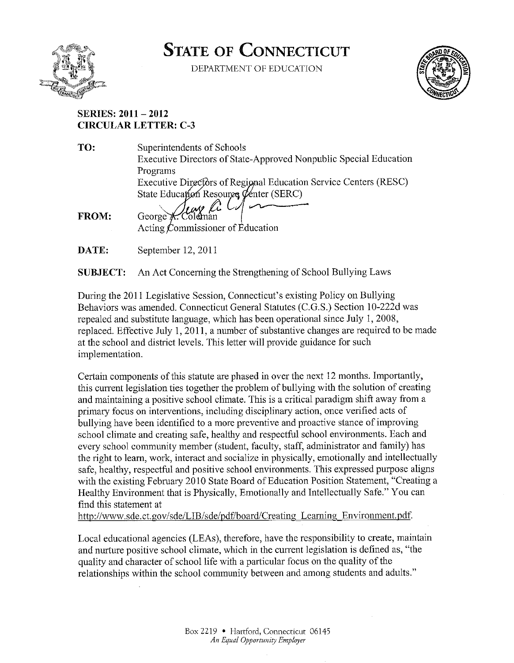

# **STATE OF CONNECTICUT**

DEPARTMENT OF EDUCATION



# **SERIES: 2011 - 2012 CIRCULAR LETTER: C-3**

| TO:          | Superintendents of Schools                                        |
|--------------|-------------------------------------------------------------------|
|              | Executive Directors of State-Approved Nonpublic Special Education |
|              | Programs                                                          |
|              | Executive Directors of Regional Education Service Centers (RESC)  |
|              |                                                                   |
|              | State Education Resource Center (SERC)                            |
| <b>FROM:</b> |                                                                   |
|              | Acting Commissioner of Education                                  |
| DATE:        | September 12, 2011                                                |

**SUBJECT:** An Act Concerning the Strengthening of School Bullying Laws

During the 2011 Legislative Session, Connecticut's existing Policy on Bullying Behaviors was amended. Connecticut General Statutes (C.G.S.) Section 10-222d was repealed and substitute language, which has been operational since July 1, 2008, replaced. Effective July 1, 2011, a number of substantive changes are required to be made at the school and district levels. This letter will provide guidance for such implementation.

Certain components of this statute are phased in over the next 12 months. Importantly, this current legislation ties together the problem of bullying with the solution of creating and maintaining a positive school climate. This is a critical paradigm shift away from a primary focus on interventions, including disciplinary action, once verified acts of bullying have been identified to a more preventive and proactive stance of improving school climate and creating safe, healthy and respectful school environments. Each and every school community member (student, faculty, staff, administrator and family) has the right to learn, work, interact and socialize in physically, emotionally and intellectually safe, healthy, respectful and positive school environments. This expressed purpose aligns with the existing February 2010 State Board of Education Position Statement, "Creating a Healthy Environment that is Physically, Emotionally and Intellectually Safe." You can find this statement at

http://www.sde.ct.gov/sde/LIB/sde/pdf/board/Creating Learning Environment.pdf.

Local educational agencies (LEAs), therefore, have the responsibility to create, maintain and nurture positive school climate, which in the current legislation is defined as, "the quality and character of school life with a particular focus on the quality of the relationships within the school community between and among students and adults."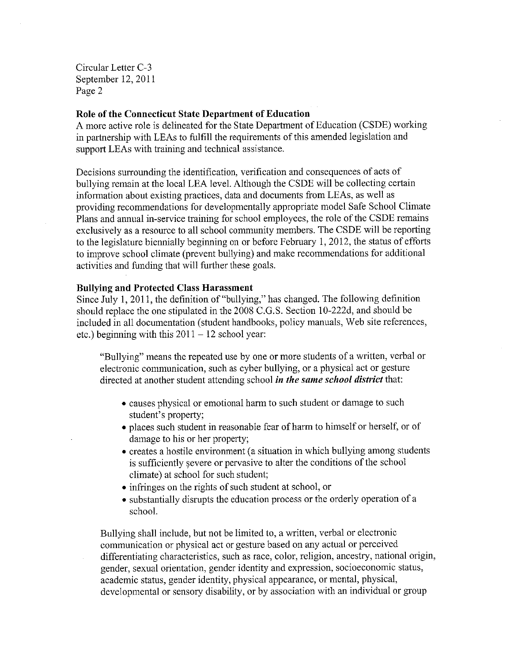## Role of the Connecticut State Department of Education

A more active role is delineated for the State Department of Education (CSDE) working in partnership with LEAs to fulfill the requirements of this amended legislation and support LEAs with training and technical assistance.

Decisions surrounding the identification, verification and consequences of acts of bullying remain at the local LEA level. Although the CSDE will be collecting certain information about existing practices, data and documents from LEAs, as well as providing recommendations for developmentally appropriate model Safe School Climate Plans and annual in-service training for school employees, the role of the CSDE remains exclusively as a resource to all school community members. The CSDE will be reporting to the legislature biennially beginning on or before February 1, 2012, the status of efforts to improve school climate (prevent bullying) and make recommendations for additional activities and funding that will further these goals.

#### **Bullying and Protected Class Harassment**

Since July 1, 2011, the definition of "bullying," has changed. The following definition should replace the one stipulated in the 2008 C.G.S. Section 10-222d, and should be included in all documentation (student handbooks, policy manuals, Web site references, etc.) beginning with this  $2011 - 12$  school year:

"Bullying" means the repeated use by one or more students of a written, verbal or electronic communication, such as cyber bullying, or a physical act or gesture directed at another student attending school in the same school district that:

- causes physical or emotional harm to such student or damage to such student's property;
- places such student in reasonable fear of harm to himself or herself, or of damage to his or her property;
- creates a hostile environment (a situation in which bullying among students is sufficiently severe or pervasive to alter the conditions of the school climate) at school for such student;
- infringes on the rights of such student at school, or
- substantially disrupts the education process or the orderly operation of a school.

Bullying shall include, but not be limited to, a written, verbal or electronic communication or physical act or gesture based on any actual or perceived differentiating characteristics, such as race, color, religion, ancestry, national origin, gender, sexual orientation, gender identity and expression, socioeconomic status, academic status, gender identity, physical appearance, or mental, physical, developmental or sensory disability, or by association with an individual or group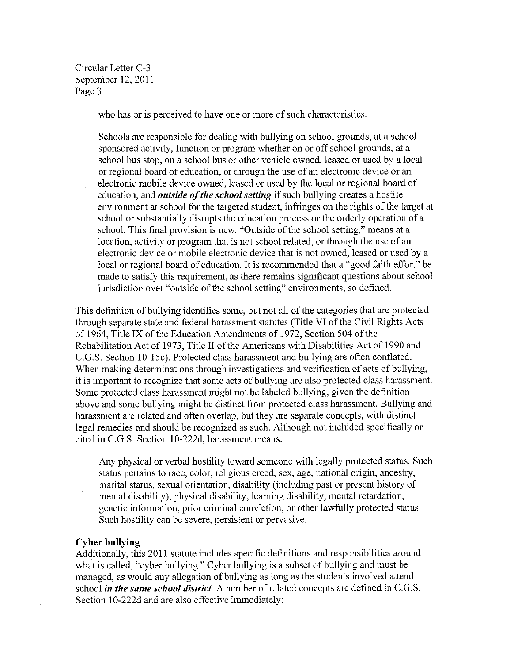who has or is perceived to have one or more of such characteristics.

Schools are responsible for dealing with bullying on school grounds, at a schoolsponsored activity, function or program whether on or off school grounds, at a school bus stop, on a school bus or other vehicle owned, leased or used by a local or regional board of education, or through the use of an electronic device or an electronic mobile device owned, leased or used by the local or regional board of education, and *outside of the school setting* if such bullying creates a hostile environment at school for the targeted student, infringes on the rights of the target at school or substantially disrupts the education process or the orderly operation of a school. This final provision is new. "Outside of the school setting," means at a location, activity or program that is not school related, or through the use of an electronic device or mobile electronic device that is not owned, leased or used by a local or regional board of education. It is recommended that a "good faith effort" be made to satisfy this requirement, as there remains significant questions about school jurisdiction over "outside of the school setting" environments, so defined.

This definition of bullying identifies some, but not all of the categories that are protected through separate state and federal harassment statutes (Title VI of the Civil Rights Acts of 1964, Title IX of the Education Amendments of 1972, Section 504 of the Rehabilitation Act of 1973, Title II of the Americans with Disabilities Act of 1990 and C.G.S. Section 10-15c). Protected class harassment and bullying are often conflated. When making determinations through investigations and verification of acts of bullying, it is important to recognize that some acts of bullying are also protected class harassment. Some protected class harassment might not be labeled bullying, given the definition above and some bullying might be distinct from protected class harassment. Bullying and harassment are related and often overlap, but they are separate concepts, with distinct legal remedies and should be recognized as such. Although not included specifically or cited in C.G.S. Section 10-222d, harassment means:

Any physical or verbal hostility toward someone with legally protected status. Such status pertains to race, color, religious creed, sex, age, national origin, ancestry, marital status, sexual orientation, disability (including past or present history of mental disability), physical disability, learning disability, mental retardation, genetic information, prior criminal conviction, or other lawfully protected status. Such hostility can be severe, persistent or pervasive.

#### **Cyber bullying**

Additionally, this 2011 statute includes specific definitions and responsibilities around what is called, "cyber bullying." Cyber bullying is a subset of bullying and must be managed, as would any allegation of bullying as long as the students involved attend school in the same school district. A number of related concepts are defined in C.G.S. Section 10-222d and are also effective immediately: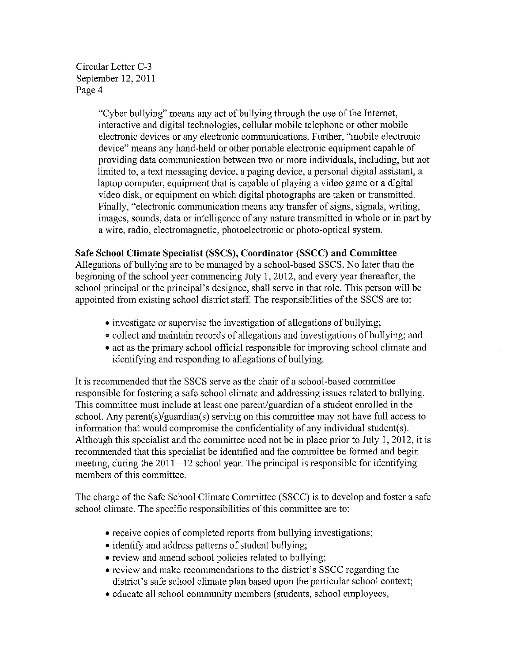> "Cyber bullying" means any act of bullying through the use of the Internet, interactive and digital technologies, cellular mobile telephone or other mobile electronic devices or any electronic communications. Further, "mobile electronic device" means any hand-held or other portable electronic equipment capable of providing data communication between two or more individuals, including, but not limited to, a text messaging device, a paging device, a personal digital assistant, a laptop computer, equipment that is capable of playing a video game or a digital video disk, or equipment on which digital photographs are taken or transmitted. Finally, "electronic communication means any transfer of signs, signals, writing, images, sounds, data or intelligence of any nature transmitted in whole or in part by a wire, radio, electromagnetic, photoelectronic or photo-optical system.

# Safe School Climate Specialist (SSCS), Coordinator (SSCC) and Committee

Allegations of bullying are to be managed by a school-based SSCS. No later than the beginning of the school year commencing July 1, 2012, and every year thereafter, the school principal or the principal's designee, shall serve in that role. This person will be appointed from existing school district staff. The responsibilities of the SSCS are to:

- investigate or supervise the investigation of allegations of bullying;
- collect and maintain records of allegations and investigations of bullying; and
- act as the primary school official responsible for improving school climate and identifying and responding to allegations of bullying.

It is recommended that the SSCS serve as the chair of a school-based committee responsible for fostering a safe school climate and addressing issues related to bullying. This committee must include at least one parent/guardian of a student enrolled in the school. Any parent(s)/guardian(s) serving on this committee may not have full access to information that would compromise the confidentiality of any individual student(s). Although this specialist and the committee need not be in place prior to July 1, 2012, it is recommended that this specialist be identified and the committee be formed and begin meeting, during the  $2011 - 12$  school year. The principal is responsible for identifying members of this committee.

The charge of the Safe School Climate Committee (SSCC) is to develop and foster a safe school climate. The specific responsibilities of this committee are to:

- receive copies of completed reports from bullying investigations;
- identify and address patterns of student bullying;
- review and amend school policies related to bullying;
- review and make recommendations to the district's SSCC regarding the district's safe school climate plan based upon the particular school context;
- educate all school community members (students, school employees,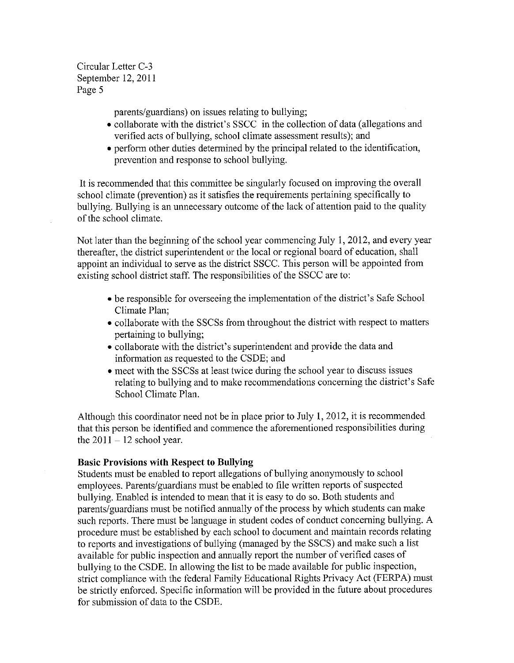parents/guardians) on issues relating to bullying;

- collaborate with the district's SSCC in the collection of data (allegations and verified acts of bullying, school climate assessment results); and
- perform other duties determined by the principal related to the identification, prevention and response to school bullying.

It is recommended that this committee be singularly focused on improving the overall school climate (prevention) as it satisfies the requirements pertaining specifically to bullying. Bullying is an unnecessary outcome of the lack of attention paid to the quality of the school climate.

Not later than the beginning of the school year commencing July 1, 2012, and every year thereafter, the district superintendent or the local or regional board of education, shall appoint an individual to serve as the district SSCC. This person will be appointed from existing school district staff. The responsibilities of the SSCC are to:

- be responsible for overseeing the implementation of the district's Safe School Climate Plan;
- collaborate with the SSCSs from throughout the district with respect to matters pertaining to bullying;
- collaborate with the district's superintendent and provide the data and information as requested to the CSDE; and
- meet with the SSCSs at least twice during the school year to discuss issues relating to bullying and to make recommendations concerning the district's Safe School Climate Plan.

Although this coordinator need not be in place prior to July 1, 2012, it is recommended that this person be identified and commence the aforementioned responsibilities during the  $2011 - 12$  school year.

## **Basic Provisions with Respect to Bullying**

Students must be enabled to report allegations of bullying anonymously to school employees. Parents/guardians must be enabled to file written reports of suspected bullying. Enabled is intended to mean that it is easy to do so. Both students and parents/guardians must be notified annually of the process by which students can make such reports. There must be language in student codes of conduct concerning bullying. A procedure must be established by each school to document and maintain records relating to reports and investigations of bullying (managed by the SSCS) and make such a list available for public inspection and annually report the number of verified cases of bullying to the CSDE. In allowing the list to be made available for public inspection, strict compliance with the federal Family Educational Rights Privacy Act (FERPA) must be strictly enforced. Specific information will be provided in the future about procedures for submission of data to the CSDE.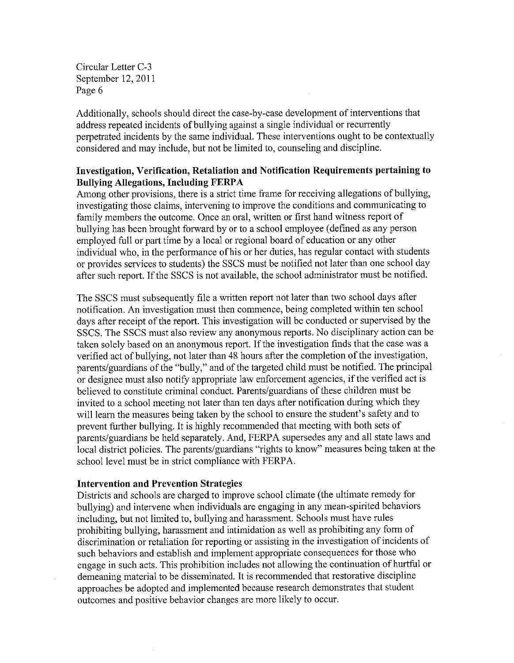Additionally, schools should direct the case-by-case development of interventions that address repeated incidents of bullying against a single individual or recurrently perpetrated incidents by the same individual. These interventions ought to be contextually considered and may include, but not be limited to, counseling and discipline.

# Investigation, Verification, Retaliation and Notification Requirements pertaining to **Bullying Allegations, Including FERPA**

Among other provisions, there is a strict time frame for receiving allegations of bullying, investigating those claims, intervening to improve the conditions and communicating to family members the outcome. Once an oral, written or first hand witness report of bullying has been brought forward by or to a school employee (defined as any person employed full or part time by a local or regional board of education or any other individual who, in the performance of his or her duties, has regular contact with students or provides services to students) the SSCS must be notified not later than one school day after such report. If the SSCS is not available, the school administrator must be notified.

The SSCS must subsequently file a written report not later than two school days after notification. An investigation must then commence, being completed within ten school days after receipt of the report. This investigation will be conducted or supervised by the SSCS. The SSCS must also review any anonymous reports. No disciplinary action can be taken solely based on an anonymous report. If the investigation finds that the case was a verified act of bullying, not later than 48 hours after the completion of the investigation, parents/guardians of the "bully," and of the targeted child must be notified. The principal or designee must also notify appropriate law enforcement agencies, if the verified act is believed to constitute criminal conduct. Parents/guardians of these children must be invited to a school meeting not later than ten days after notification during which they will learn the measures being taken by the school to ensure the student's safety and to prevent further bullying. It is highly recommended that meeting with both sets of parents/guardians be held separately. And, FERPA supersedes any and all state laws and local district policies. The parents/guardians "rights to know" measures being taken at the school level must be in strict compliance with FERPA.

## **Intervention and Prevention Strategies**

Districts and schools are charged to improve school climate (the ultimate remedy for bullying) and intervene when individuals are engaging in any mean-spirited behaviors including, but not limited to, bullying and harassment. Schools must have rules prohibiting bullying, harassment and intimidation as well as prohibiting any form of discrimination or retaliation for reporting or assisting in the investigation of incidents of such behaviors and establish and implement appropriate consequences for those who engage in such acts. This prohibition includes not allowing the continuation of hurtful or demeaning material to be disseminated. It is recommended that restorative discipline approaches be adopted and implemented because research demonstrates that student outcomes and positive behavior changes are more likely to occur.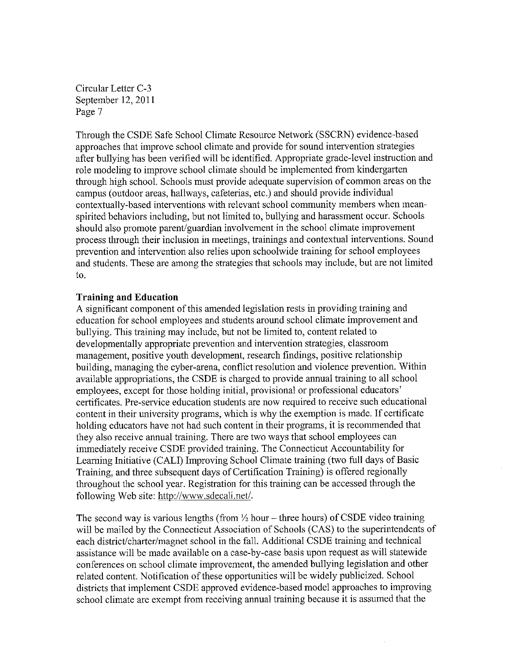Through the CSDE Safe School Climate Resource Network (SSCRN) evidence-based approaches that improve school climate and provide for sound intervention strategies after bullying has been verified will be identified. Appropriate grade-level instruction and role modeling to improve school climate should be implemented from kindergarten through high school. Schools must provide adequate supervision of common areas on the campus (outdoor areas, hallways, cafeterias, etc.) and should provide individual contextually-based interventions with relevant school community members when meanspirited behaviors including, but not limited to, bullying and harassment occur. Schools should also promote parent/guardian involvement in the school climate improvement process through their inclusion in meetings, trainings and contextual interventions. Sound prevention and intervention also relies upon schoolwide training for school employees and students. These are among the strategies that schools may include, but are not limited to.

#### **Training and Education**

A significant component of this amended legislation rests in providing training and education for school employees and students around school climate improvement and bullying. This training may include, but not be limited to, content related to developmentally appropriate prevention and intervention strategies, classroom management, positive youth development, research findings, positive relationship building, managing the cyber-arena, conflict resolution and violence prevention. Within available appropriations, the CSDE is charged to provide annual training to all school employees, except for those holding initial, provisional or professional educators' certificates. Pre-service education students are now required to receive such educational content in their university programs, which is why the exemption is made. If certificate holding educators have not had such content in their programs, it is recommended that they also receive annual training. There are two ways that school employees can immediately receive CSDE provided training. The Connecticut Accountability for Learning Initiative (CALI) Improving School Climate training (two full days of Basic Training, and three subsequent days of Certification Training) is offered regionally throughout the school year. Registration for this training can be accessed through the following Web site: http://www.sdecali.net/.

The second way is various lengths (from  $\frac{1}{2}$  hour – three hours) of CSDE video training will be mailed by the Connecticut Association of Schools (CAS) to the superintendents of each district/charter/magnet school in the fall. Additional CSDE training and technical assistance will be made available on a case-by-case basis upon request as will statewide conferences on school climate improvement, the amended bullying legislation and other related content. Notification of these opportunities will be widely publicized. School districts that implement CSDE approved evidence-based model approaches to improving school climate are exempt from receiving annual training because it is assumed that the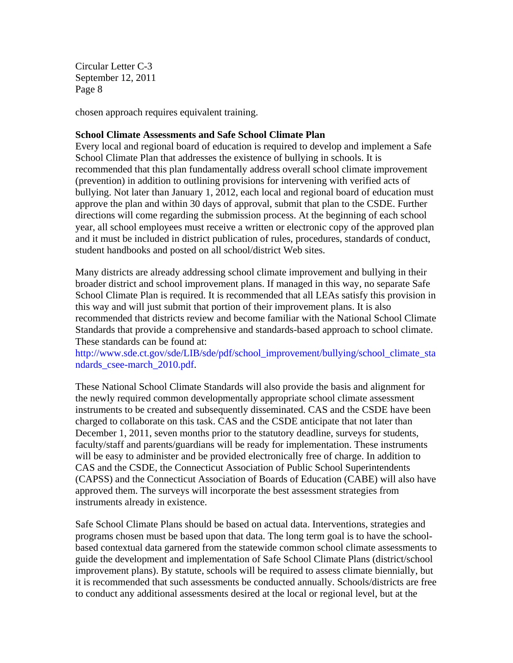chosen approach requires equivalent training.

# **School Climate Assessments and Safe School Climate Plan**

Every local and regional board of education is required to develop and implement a Safe School Climate Plan that addresses the existence of bullying in schools. It is recommended that this plan fundamentally address overall school climate improvement (prevention) in addition to outlining provisions for intervening with verified acts of bullying. Not later than January 1, 2012, each local and regional board of education must approve the plan and within 30 days of approval, submit that plan to the CSDE. Further directions will come regarding the submission process. At the beginning of each school year, all school employees must receive a written or electronic copy of the approved plan and it must be included in district publication of rules, procedures, standards of conduct, student handbooks and posted on all school/district Web sites.

Many districts are already addressing school climate improvement and bullying in their broader district and school improvement plans. If managed in this way, no separate Safe School Climate Plan is required. It is recommended that all LEAs satisfy this provision in this way and will just submit that portion of their improvement plans. It is also recommended that districts review and become familiar with the National School Climate Standards that provide a comprehensive and standards-based approach to school climate. These standards can be found at:

[http://www.sde.ct.gov/sde/LIB/sde/pdf/school\\_improvement/bullying/school\\_climate\\_sta](http://www.sde.ct.gov/sde/LIB/sde/pdf/school_improvement/bullying/school_climate_standards_csee-march_2010.pdf) ndards csee-march 2010.pdf.

These National School Climate Standards will also provide the basis and alignment for the newly required common developmentally appropriate school climate assessment instruments to be created and subsequently disseminated. CAS and the CSDE have been charged to collaborate on this task. CAS and the CSDE anticipate that not later than December 1, 2011, seven months prior to the statutory deadline, surveys for students, faculty/staff and parents/guardians will be ready for implementation. These instruments will be easy to administer and be provided electronically free of charge. In addition to CAS and the CSDE, the Connecticut Association of Public School Superintendents (CAPSS) and the Connecticut Association of Boards of Education (CABE) will also have approved them. The surveys will incorporate the best assessment strategies from instruments already in existence.

Safe School Climate Plans should be based on actual data. Interventions, strategies and programs chosen must be based upon that data. The long term goal is to have the schoolbased contextual data garnered from the statewide common school climate assessments to guide the development and implementation of Safe School Climate Plans (district/school improvement plans). By statute, schools will be required to assess climate biennially, but it is recommended that such assessments be conducted annually. Schools/districts are free to conduct any additional assessments desired at the local or regional level, but at the